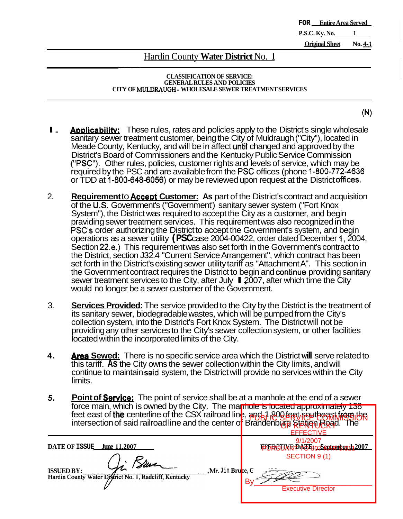**FOR Entire Area Served P.S.C. Ky. No.** 1

**Original Sheet No. 4-1** 

### **Hardin County Water District No. 1**

#### **CLASSIFICATION OF SERVICE: GENERAL RULES AND POLICIES CITY OF MULDRAUGH** - **WHOLESALE SEWER TREATMENT SERVICES**

- $(N)$
- I. **Applicability;** These rules, rates and policies apply to the District's single wholesale sanitary sewer treatment customer, being the City of Muldraugh ("City"), located in Meade County, Kentucky, and will be in affect untit changed and approved by the District's Board of Commissioners and the Kentucky Public Service Commission **(''PSC'').** Other rules, policies, customer rights and levels of service, which may be required by the PSC and are available from the PSC offices (phone 1-800-772-4636 or TDD at 1-800-648-6056) or may be reviewed upon request at the District offices.
- 2. **Requirement** to **Accent Customer: As** part of the District's contract and acquisition of the **US.** Government's ("Government') sanitary sewer system ("Fort Knox System"), the District was required to accept the City as a customer, and begin praviding sewer treatment services. This requirement was also recognized in the PSC's order authorizing the District to accept the Government's system, and begin operations as a sewer utility **(PSC** case 2004-00422, order dated December **I,** 2004, Section 22.e.) This requirement was also set forth in the Government's contract to the District, section J32.4 "Current Service Arrangement", which contract has been set forth in the District's existing sewer utility tariff as "Attachment A". This section in the Government contract requires the District to begin and **continue** providing sanitary sewer treatment services to the City, after July  $\blacksquare$  2007, after which time the City would no longer be a sewer customer of the Government.
- 3. **Services Provided:** The service provided to the City by the District is the treatment of its sanitary sewer, biodegradable wastes, which will be pumped from the City's collection system, into the District's Fort Knox System. The District will not be providing any other services to the City's sewer collection system, or other facilities located within the incorporated limits of the City.
- **4. Area Sewed:** There is no specific service area which the District **will** serve related to this tariff. **As** the City owns the sewer collection within the City limits, and will continue to maintain **said** system, the District will provide no services within the City limits.
- *5.*  **Point of Service:** The point of service shall be at a manhole at the end of a sewer force main, which is owned by the City. The manhole is located approximately 138 feet east of the centerline of the CSX railroad line, and 1,800 feet southeast from the content of a site of the content of property in the content of a site of cold religion of a site of the content of  $\frac{1}{2}$ intersection of said railroad line and the center o<mark>f Brandenburg Rieition Road. The</mark>

|                                                                                                                                                       | <b>FFFFCTIVE</b>                                                |
|-------------------------------------------------------------------------------------------------------------------------------------------------------|-----------------------------------------------------------------|
| DATE OF ISSUE<br><b>June 11.2007</b><br>Mr. Blue<br>, Mr. Jim Bruce, G<br><b>ISSUED BY:</b><br>Hardin County Water District No. 1, Radcliff, Kentucky | 9/1/2007<br>EHFRGTIAR DATE 30 September 1,2007<br>SECTION 9 (1) |
|                                                                                                                                                       | Bv<br><b>Executive Director</b>                                 |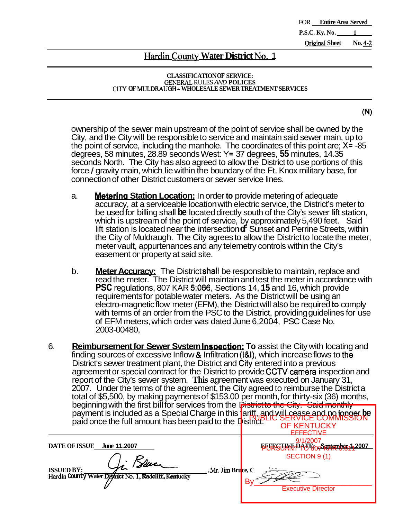FOR **Entire Area Served P.S.C. Ky. No. \_ OriainaI Sheet No.** *4-2* 

## **Hardin County Water District No. 1**

#### **CLASSIFICATION OF SERVICE:**  GENER4L RULES *AND* **POLICES CITY OF** MULDRAUGH - **WHOLESALE SEWER TREATMENT SERVICES**

 $(N)$ 

ownership of the sewer main upstream of the point of service shall be owned by the City, and the City will be responsible to service and maintain said sewer main, up to the point of service, including the manhole. The coordinates of this point are; **X=** -85 degrees, 58 minutes, 28.89 seconds West: **Y=** 37 degrees, **55** minutes, 14.35 seconds North. The City has also agreed to allow the District to use portions of this force / gravity main, which lie within the boundary of the Ft. Knox military base, for connection of other District customers or sewer service lines.

- a. **Nleterina Station Location:** In order **to** provide metering of adequate accuracy, at a serviceable location with electric service, the District's meter to be used for billing shall **be** located directly south of the City's sewer lift station, which is upstream of the point of service, by approximately 5,490 feet. Said lift station is located near the intersection **of** Sunset and Perrine Streets, within the City of Muldraugh. The City agrees to allow the District to locate the meter, meter vault, appurtenances and any telemetry controls within the City's easement or property at said site.
- b. **Meter Accuracy:** The District shatl be responsible to maintain, replace and read the meter. The District will maintain and test the meter in accordance with **PSC** regulations, 807 KAR 5:066, Sections 14, 15 and 16, which provide requirements for potable water meters. As the District will be using an electro-magnetic flow meter (EFM), the District will also be required to comply with terms of an order from the PSC to the District, providing guidelines for use of EFM meters, which order was dated June 6,2004, PSC Case No. 2003-00480,
- 6. **Reimbursement for Sewer System Inspection: To** assist the City with locating and finding sources of excessive Inflow & Infiltration **(I&),** which increase flows to **the**  District's sewer treatment plant, the District and City entered into a previous agreement or special contract for the District to provide **CCTV** camera inspection and report of the City's sewer system. **This** agreement was executed on January 31, 2007. Under the terms of the agreement, the City agreed to reimburse the District a total of \$5,500, by making payments of \$153.00 per month, for thirty-six (36) months, beginning with the first bill for services from the District to the City. Said monthly payment is included as a Special Charge in this  $\textrm{lariff}$  and will cease and no longer be  $\mid$ paid once the full amount has been paid to the District? PUBLIC SERVICE COMMISSION OF KENTUCKY

| payment is included as a Special Charge in this tariff, and will cease and no longer be paid once the full amount has been paid to the District. | <b>OF KENTUCKY</b><br><b>FFFFCTIVE</b>           |
|--------------------------------------------------------------------------------------------------------------------------------------------------|--------------------------------------------------|
| DATE OF ISSUE June 11.2007                                                                                                                       | 9/1/2007<br><b>EURSUAR PATE: 750191051442007</b> |
| <b>ISSUED BY:</b>                                                                                                                                | SECTION 9 (1)                                    |
| , Mr. Jim Bruce, C                                                                                                                               | B٧                                               |
| Hardin County Water District No. 1, Radcliff, Kentucky                                                                                           | <b>Executive Director</b>                        |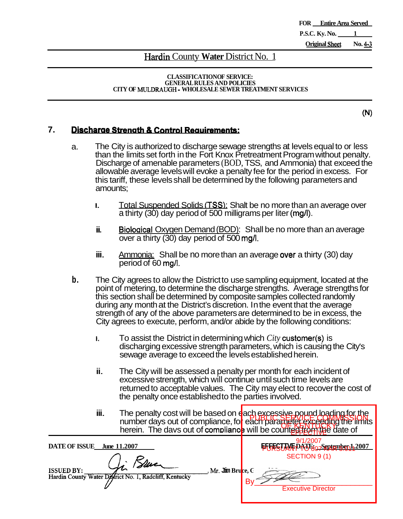**FOR Entire Area Served P.S.C. Ky. No.** 1 **Original Sheet** No. 4-3

### **Hardin** County **Water** District No. 1

**CLASSIFICATION OF SERVICE: GENERAL RULES AND POLICIES CITY OF** MULDRAUGH - **WHOLESALE SEWER TREATMENT SERVICES** 

 $(N)$ 

### **7.** Discharge Strength & Control Requirements:

- a. The City is authorized to discharge sewage strengths at levels equal to or less than the limits set forth in the Fort Knox Pretreatment Program without penalty. Discharge of amenable parameters (BOD, TSS, and Ammonia) that exceed the allowable average levels will evoke a penalty fee for the period in excess. For this tariff, these levels shall be determined by the following parameters and amounts;
	- **1.** Total Suspended Solids **(TSS)**: Shalt be no more than an average over a thirty (30) day period of 500 milligrams per liter **(mg/l).**
	- ii. Biological Oxygen Demand (BOD): Shall be no more than an average over a thirty (30) day period of 500 mg/l.
	- iii. Ammonia: Shall be no more than an average **over** a thirty (30) day period of 60 mg/l.
- **b.** The City agrees to allow the District to use sampling equipment, located at the point of metering, to determine the discharge strengths. Average strengths for this section shall be determined by composite samples collected randomly during any month at the District's discretion. In the event that the average strength of any of the above parameters are determined to be in excess, the City agrees to execute, perform, and/or abide by the following conditions:
	- **I.** To assist the District in determining which *City* customer(s) is discharging excessive strength parameters, which is causing the City's sewage average to exceed the levels established herein.
	- ii. The City will be assessed a penalty per month for each incident of excessive strength, which will continue until such time levels are returned to acceptable values. The City may elect to recover the cost of the penalty once established to the parties involved.
	- iii. The penalty cost will be based on each excessive pound loading for the The periaty cost will be based on query experience and the limits in the limits of the limits. herein. The days out of compliance, for each parameter of the morning the in EFFECTIVE

| <b>DATE OF ISSUE</b><br>June 11.2007                                                                          | ETFESTIME DAATS September 1,2007 |
|---------------------------------------------------------------------------------------------------------------|----------------------------------|
| <b>ISSUED BY:</b><br>Mr. Jim Bru <mark>ce, G</mark><br>Hardin County Water District No. 1, Radcliff, Kentucky | SECTION 9(1)<br>Β١               |
|                                                                                                               | <b>Executive Director</b>        |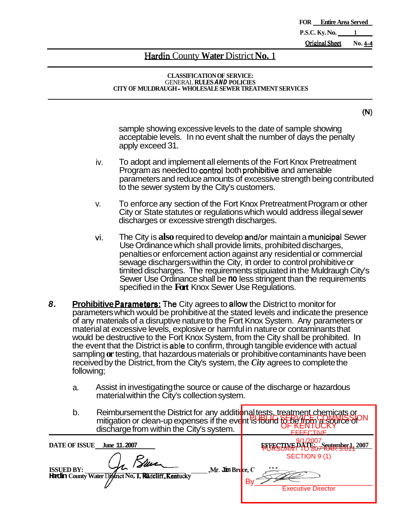**FOR Entire Area Served P.S.C. Ky. No. 1 <u>Original Sheet</u>** No. 4-4

### Hardin County **Water** District **No. 1**

#### **CLASSIFICATION OF SERVICE:**  GENERAL **RULES** *AND* **POLICIES CITY OF MULDRAUGH** - **WHOLESALE SEWER TREATMENT SERVICES**

 $(N)$ 

sample showing excessive levels to the date of sample showing acceptabie levels. In no event shalt the number of days the penalty apply exceed 31.

- To adopt and implement all elements of the Fort Knox Pretreatment Program as needed to control both prohibitive and amenable parameters and reduce amounts of excessive strength being contributed to the sewer system by the City's customers. iv.
- v. To enforce any section of the Fort Knox Pretreatment Program or other City or State statutes or regulations which would address illegal sewer discharges or excessive strength discharges.
- vi. The City is **also** required to develop and/or maintain a municipat Sewer Use Ordinance which shall provide limits, prohibited discharges, penalties or enforcement action against any residential or commercial sewage dischargers within the City, in order to control prohibitive or timited discharges. The requirements stipuiated in the Muldraugh City's Sewer Use Ordinance shall be **no** less stringent than the requirements specified in the **Fort** Knox Sewer Use Regulations.
- *8.* **Prohibitive Parameters: The** City agrees to allow the District to monitor for parameters which would be prohibitive at the stated levels and indicate the presence of any materials of a disruptive nature to the Fort Knox System. Any parameters or material at excessive levels, explosive or harmful in nature or contaminants that would be destructive to the Fort Knox System, from the City shall be prohibited. In the event that the District is able to confirm, through tangible evidence with actual sampling **or** testing, that hazardous materials or prohibitive contaminants have been received by the District, from the City's system, the *City* agrees to complete the following;
	- a. Assist in investigating the source or cause of the discharge or hazardous material within the City's collection system.
	- b. Reimbursement the District for any additional tests, treatment chemicats or mitigation or clean-up expenses if the event is found to be from a sound surdischarge from within the City's system. PUBLIC SERVICE COMMISSION OF KENTUCKY **EFFECTIVE**

| b.                                        | Reimbursement the District for any additional tests, treatment chemicats or<br>mitigation or clean-up expenses if the event is fould to be up a source of<br>discharge from within the City's system. | <b>FFFFCTIVE</b>                                                                               |
|-------------------------------------------|-------------------------------------------------------------------------------------------------------------------------------------------------------------------------------------------------------|------------------------------------------------------------------------------------------------|
| <b>DATE OF ISSUE</b><br><b>ISSUED BY:</b> | June 11,2007<br>, Mr. Jim Bruce, C<br>Hardin County Water District No. 1, Radcliff, Kentucky                                                                                                          | <b>EFFESTIVE DAG E07 September 1, 2007</b><br>SECTION 9 (1)<br>В٧<br><b>Executive Director</b> |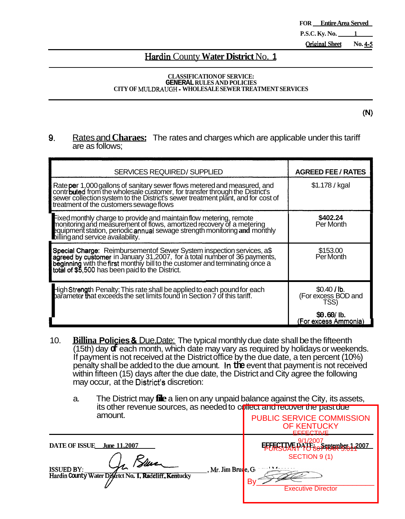**FOR Entire Area Served P.S.C. Ky. No. 1 Orieinal Sheet No. 4-5** 

### **Hardin** County **Water District** No. **1**

#### **CLASSIFICATION OF SERVICE: GENERAL RULES AND POLICIES CITY OF MULDRAUGH** - **WHOLESALE SEWER TREATMENT SERVICES**

 $(N)$ 

### **9.** Rates and **Charaes:** The rates and charges which are applicable under this tariff are as follows;

| <b>SERVICES REQUIRED/ SUPPLIED</b>                                                                                                                                                                                                                                                             | <b>AGREED FEE / RATES</b>                 |
|------------------------------------------------------------------------------------------------------------------------------------------------------------------------------------------------------------------------------------------------------------------------------------------------|-------------------------------------------|
| Rate per 1,000 gallons of sanitary sewer flows metered and measured, and<br>contr <b>buted</b> from the wholesale customer, for transfer through the District's<br>sewer collection system to the District's sewer treatment plant, and for cost of<br>treatment of the customers sewage flows | \$1.178 / kgal                            |
| Fixed monthly charge to provide and maintain flow metering, remote<br>monitoring and measurement of flows, amortized recovery of a metering<br>equipment station, periodic annual sewage strength monitoring and monthly<br>billing and service availability.                                  | \$402.24<br>Per Month                     |
| Special Charge: Reimbursementof Sewer System inspection services, a\$<br>agreed by customer in January 31,2007, for a total number of 36 payments,<br>beginning with the first monthly bill to the customer and terminating once a<br>total of \$5,500 has been paid to the District.          | \$153.00<br>Per Month                     |
| High Strength Penalty: This rate shall be applied to each pound for each<br>parameter that exceeds the set limits found in Section 7 of this tariff.                                                                                                                                           | \$0.40/lb.<br>(For excess BOD and<br>TSS) |
|                                                                                                                                                                                                                                                                                                | $$0.60/$ lb.<br>(For excess Ammonia)      |

- 10. **Billina Policies** *8t* Due, Date: The typical monthly due date shall be the fifteenth (15th) day **of** each month, which date may vary as required by holidays or weekends. If payment is not received at the District office by the due date, a ten percent (10%) penalty shall be added to the due amount. In **the** event that payment is not received within fifteen (15) days after the due date, the District and City agree the following may occur, at the District's discretion:
	- a. The District may **file** a lien on any unpaid balance against the City, its assets, its other revenue sources, as needed to collect and recover the past due amount. PUBLIC SERVICE COMMISSION

|                                           | <u>ILS OILIBITEVELIDE SOULCES, AS FIEBOBU IO CUIBECI AFIU FECOVEI ILIBI PASI QUE</u> |                                  |                                                                                                                   |
|-------------------------------------------|--------------------------------------------------------------------------------------|----------------------------------|-------------------------------------------------------------------------------------------------------------------|
|                                           | amount.                                                                              |                                  | <b>PUBLIC SERVICE COMMISSION</b><br><b>OF KENTUCKY</b>                                                            |
|                                           |                                                                                      |                                  | <b>EFFECTIVE</b>                                                                                                  |
| <b>DATE OF ISSUE</b><br><b>ISSUED BY:</b> | <b>June 11.2007</b><br>Hardin County Water District No. 1, Radcliff, Kentucky        | , Mr. Jim Bruc <mark>e, G</mark> | EFFECTIVE DATE: September 1,2007<br>-8 <del>07 KAR 5.01</del><br>SECTION 9 (1)<br>Β١<br><b>Executive Director</b> |
|                                           |                                                                                      |                                  |                                                                                                                   |